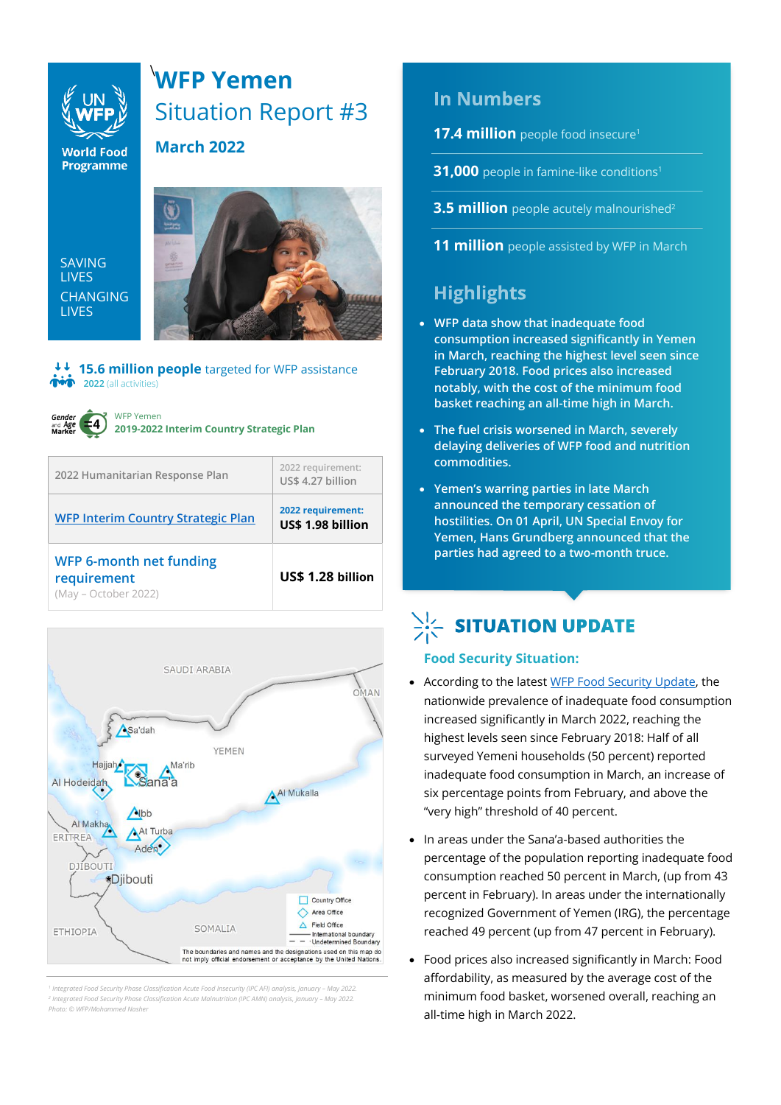### **WFP Yemen**  \ Situation Report #3



**World Food Programme** 

SAVING LIVES CHANGING **LIVES** 



**15.6 million people** targeted for WFP assistance *i***m** 2022 (all activities)

**March 2022**



WFP Yemen **2019-2022 Interim Country Strategic Plan**

| 2022 Humanitarian Response Plan                                       | 2022 requirement:<br>US\$ 4.27 billion |
|-----------------------------------------------------------------------|----------------------------------------|
| <b>WFP Interim Country Strategic Plan</b>                             | 2022 requirement:<br>US\$ 1.98 billion |
| <b>WFP 6-month net funding</b><br>requirement<br>(May - October 2022) | US\$ 1.28 billion                      |



*1 Integrated Food Security Phase Classification Acute Food Insecurity (IPC AFI) analysis, January – May 2022. 2 Integrated Food Security Phase Classification Acute Malnutrition (IPC AMN) analysis, January – May 2022. Photo: © WFP/Mohammed Nasher*

### **In Numbers**

**17.4 million** people food insecure<sup>1</sup>

**31,000** people in famine-like conditions<sup>1</sup>

**3.5 million** people acutely malnourished<sup>2</sup>

**11 million** people assisted by WFP in March

### **Highlights**

- **WFP data show that inadequate food consumption increased significantly in Yemen in March, reaching the highest level seen since February 2018. Food prices also increased notably, with the cost of the minimum food basket reaching an all-time high in March.**
- **The fuel crisis worsened in March, severely delaying deliveries of WFP food and nutrition commodities.**
- **Yemen's warring parties in late March announced the temporary cessation of hostilities. On 01 April, UN Special Envoy for Yemen, Hans Grundberg announced that the parties had agreed to a two-month truce.**

## $\sum_{i=1}^{N}$  SITUATION UPDATE

### **Food Security Situation:**

- According to the lates[t WFP Food Security Update,](https://reliefweb.int/report/yemen/wfp-yemen-food-security-update-april-2022) the nationwide prevalence of inadequate food consumption increased significantly in March 2022, reaching the highest levels seen since February 2018: Half of all surveyed Yemeni households (50 percent) reported inadequate food consumption in March, an increase of six percentage points from February, and above the "very high" threshold of 40 percent.
- In areas under the Sana'a-based authorities the percentage of the population reporting inadequate food consumption reached 50 percent in March, (up from 43 percent in February). In areas under the internationally recognized Government of Yemen (IRG), the percentage reached 49 percent (up from 47 percent in February).
- Food prices also increased significantly in March: Food affordability, as measured by the average cost of the minimum food basket, worsened overall, reaching an all-time high in March 2022.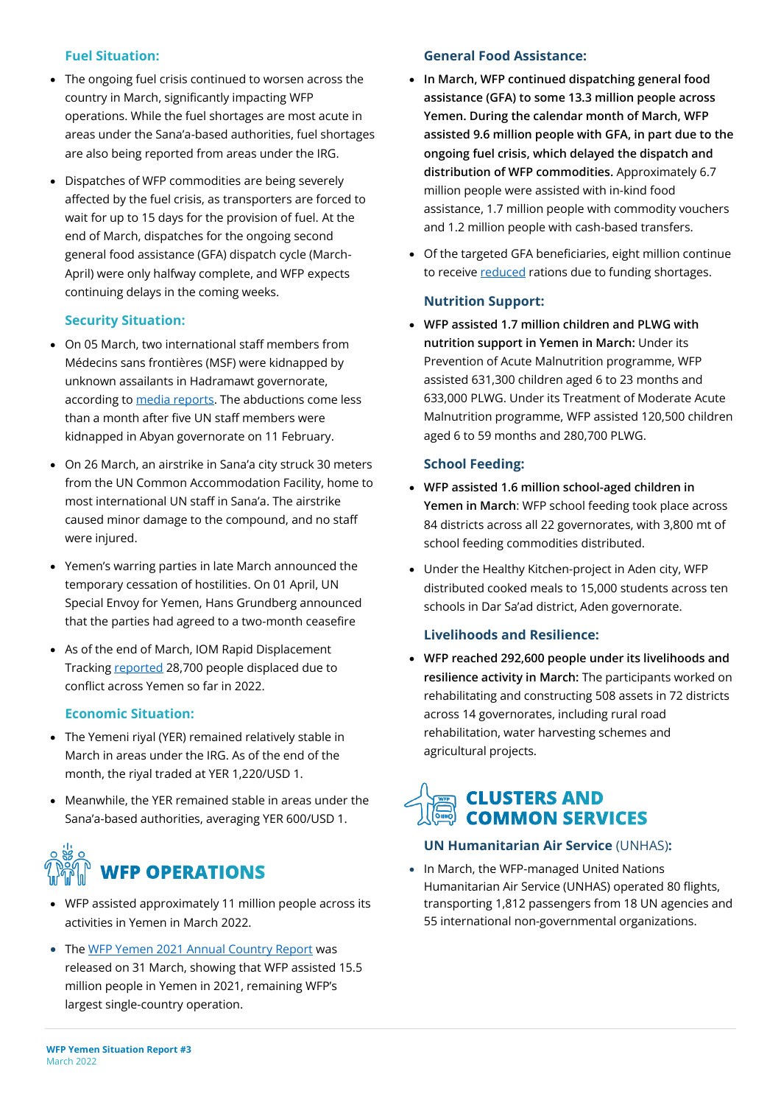### **Fuel Situation:**

- The ongoing fuel crisis continued to worsen across the country in March, significantly impacting WFP operations. While the fuel shortages are most acute in areas under the Sana'a-based authorities, fuel shortages are also being reported from areas under the IRG.
- Dispatches of WFP commodities are being severely affected by the fuel crisis, as transporters are forced to wait for up to 15 days for the provision of fuel. At the end of March, dispatches for the ongoing second general food assistance (GFA) dispatch cycle (March-April) were only halfway complete, and WFP expects continuing delays in the coming weeks.

### **Security Situation:**

- On 05 March, two international staff members from Médecins sans frontières (MSF) were kidnapped by unknown assailants in Hadramawt governorate, according to [media reports.](https://www.reuters.com/world/middle-east/doctors-without-borders-workers-kidnapped-yemen-sources-2022-03-06/) The abductions come less than a month after five UN staff members were kidnapped in Abyan governorate on 11 February.
- On 26 March, an airstrike in Sana'a city struck 30 meters from the UN Common Accommodation Facility, home to most international UN staff in Sana'a. The airstrike caused minor damage to the compound, and no staff were injured.
- Yemen's warring parties in late March announced the temporary cessation of hostilities. On 01 April, UN Special Envoy for Yemen, Hans Grundberg announced that the parties had agreed to a two-month ceasefire
- As of the end of March, IOM Rapid Displacement Tracking [reported](https://dtm.iom.int/reports/yemen-%E2%80%94-rapid-displacement-tracking-update-20-march-26-march-2022) 28,700 people displaced due to conflict across Yemen so far in 2022.

### **Economic Situation:**

- The Yemeni riyal (YER) remained relatively stable in March in areas under the IRG. As of the end of the month, the riyal traded at YER 1,220/USD 1.
- Meanwhile, the YER remained stable in areas under the Sana'a-based authorities, averaging YER 600/USD 1.

# **WFP OPERATIONS**

- WFP assisted approximately 11 million people across its activities in Yemen in March 2022.
- Th[e WFP Yemen 2021 Annual Country Report](https://www.wfp.org/operations/annual-country-report/?operation_id=YE01&year=2021#/23449) was released on 31 March, showing that WFP assisted 15.5 million people in Yemen in 2021, remaining WFP's largest single-country operation.

### **General Food Assistance:**

- **In March, WFP continued dispatching general food assistance (GFA) to some 13.3 million people across Yemen. During the calendar month of March, WFP assisted 9.6 million people with GFA, in part due to the ongoing fuel crisis, which delayed the dispatch and distribution of WFP commodities.** Approximately 6.7 million people were assisted with in-kind food assistance, 1.7 million people with commodity vouchers and 1.2 million people with cash-based transfers.
- Of the targeted GFA beneficiaries, eight million continue to receiv[e reduced](https://www.wfp.org/news/wfp-forced-cut-food-assistance-yemen-warns-impact-hunger-rises) rations due to funding shortages.

### **Nutrition Support:**

• **WFP assisted 1.7 million children and PLWG with nutrition support in Yemen in March:** Under its Prevention of Acute Malnutrition programme, WFP assisted 631,300 children aged 6 to 23 months and 633,000 PLWG. Under its Treatment of Moderate Acute Malnutrition programme, WFP assisted 120,500 children aged 6 to 59 months and 280,700 PLWG.

#### **School Feeding:**

- **WFP assisted 1.6 million school-aged children in Yemen in March**: WFP school feeding took place across 84 districts across all 22 governorates, with 3,800 mt of school feeding commodities distributed.
- Under the Healthy Kitchen-project in Aden city, WFP distributed cooked meals to 15,000 students across ten schools in Dar Sa'ad district, Aden governorate.

### **Livelihoods and Resilience:**

• **WFP reached 292,600 people under its livelihoods and resilience activity in March:** The participants worked on rehabilitating and constructing 508 assets in 72 districts across 14 governorates, including rural road rehabilitation, water harvesting schemes and agricultural projects.

### **CLUSTERS AND COMMON SERVICES**

### **UN Humanitarian Air Service** (UNHAS)**:**

• In March, the WFP-managed United Nations Humanitarian Air Service (UNHAS) operated 80 flights, transporting 1,812 passengers from 18 UN agencies and 55 international non-governmental organizations.